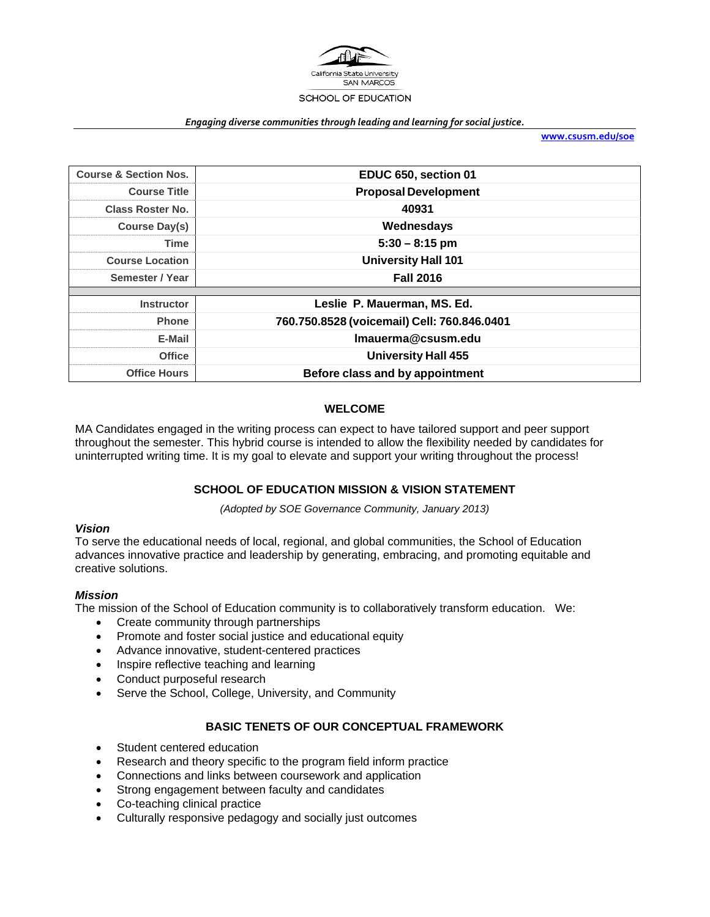

#### *Engaging diverse communities through leading and learning for social justice.*

**www.csusm.edu/soe**

| <b>Course &amp; Section Nos.</b> | EDUC 650, section 01                        |  |  |  |
|----------------------------------|---------------------------------------------|--|--|--|
| <b>Course Title</b>              | <b>Proposal Development</b>                 |  |  |  |
| <b>Class Roster No.</b>          | 40931                                       |  |  |  |
| Course Day(s)                    | Wednesdays                                  |  |  |  |
| Time                             | $5:30 - 8:15$ pm                            |  |  |  |
| <b>Course Location</b>           | <b>University Hall 101</b>                  |  |  |  |
| Semester / Year                  | <b>Fall 2016</b>                            |  |  |  |
|                                  |                                             |  |  |  |
| <b>Instructor</b>                | Leslie P. Mauerman, MS. Ed.                 |  |  |  |
| <b>Phone</b>                     | 760.750.8528 (voicemail) Cell: 760.846.0401 |  |  |  |
| E-Mail                           | Imauerma@csusm.edu                          |  |  |  |
| <b>Office</b>                    | <b>University Hall 455</b>                  |  |  |  |
| <b>Office Hours</b>              | Before class and by appointment             |  |  |  |

### **WELCOME**

MA Candidates engaged in the writing process can expect to have tailored support and peer support throughout the semester. This hybrid course is intended to allow the flexibility needed by candidates for uninterrupted writing time. It is my goal to elevate and support your writing throughout the process!

### **SCHOOL OF EDUCATION MISSION & VISION STATEMENT**

*(Adopted by SOE Governance Community, January 2013)* 

### *Vision*

To serve the educational needs of local, regional, and global communities, the School of Education advances innovative practice and leadership by generating, embracing, and promoting equitable and creative solutions.

### *Mission*

The mission of the School of Education community is to collaboratively transform education. We:

- Create community through partnerships
- Promote and foster social justice and educational equity
- Advance innovative, student-centered practices
- Inspire reflective teaching and learning
- Conduct purposeful research
- Serve the School, College, University, and Community

### **BASIC TENETS OF OUR CONCEPTUAL FRAMEWORK**

- Student centered education
- Research and theory specific to the program field inform practice
- Connections and links between coursework and application
- Strong engagement between faculty and candidates
- Co-teaching clinical practice
- Culturally responsive pedagogy and socially just outcomes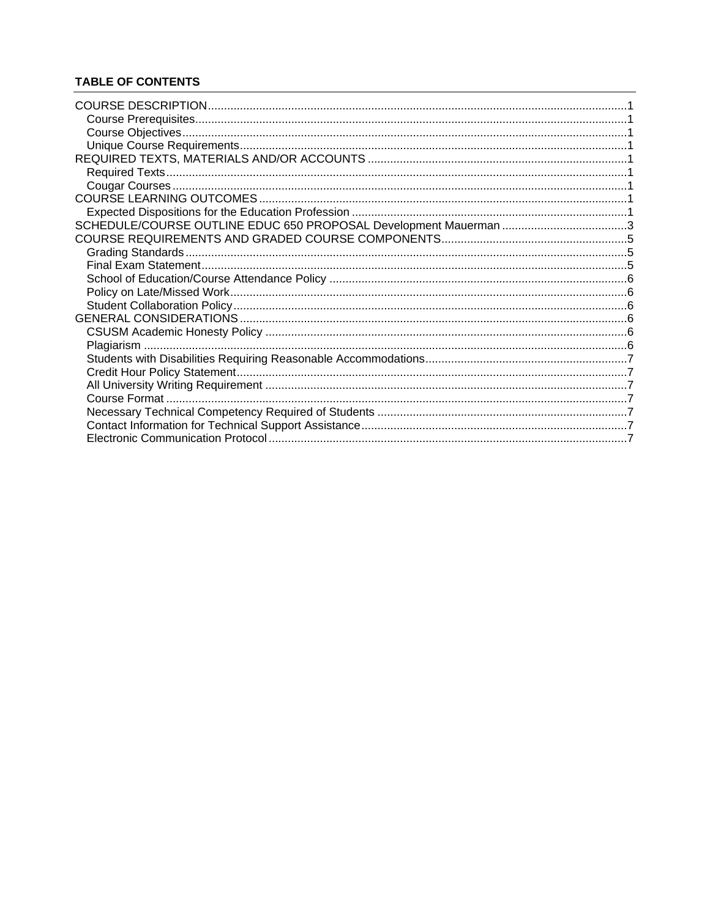## **TABLE OF CONTENTS**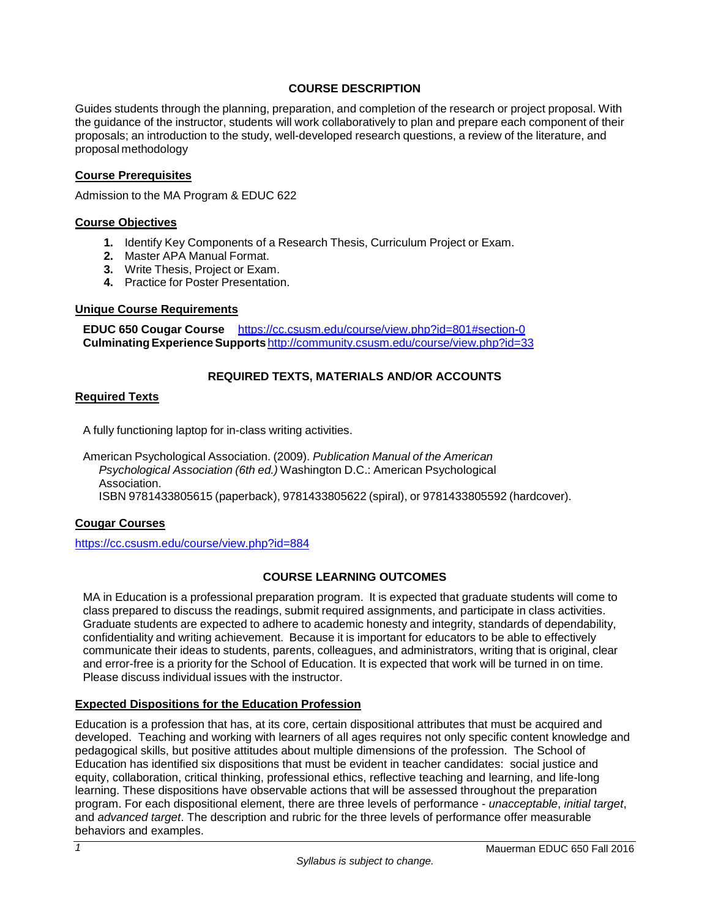## **COURSE DESCRIPTION**

Guides students through the planning, preparation, and completion of the research or project proposal. With the guidance of the instructor, students will work collaboratively to plan and prepare each component of their proposals; an introduction to the study, well-developed research questions, a review of the literature, and proposal methodology

### **Course Prerequisites**

Admission to the MA Program & EDUC 622

### **Course Objectives**

- **1.** Identify Key Components of a Research Thesis, Curriculum Project or Exam.
- **2.** Master APA Manual Format.
- **3.** Write Thesis, Project or Exam.
- **4.** Practice for Poster Presentation.

### **Unique Course Requirements**

**EDUC 650 Cougar Course** https://cc.csusm.edu/course/view.php?id=801#section-0 **Culminating Experience Supports** http://community.csusm.edu/course/view.php?id=33

## **REQUIRED TEXTS, MATERIALS AND/OR ACCOUNTS**

### **Required Texts**

A fully functioning laptop for in-class writing activities.

American Psychological Association. (2009). *Publication Manual of the American Psychological Association (6th ed.)* Washington D.C.: American Psychological Association. ISBN 9781433805615 (paperback), 9781433805622 (spiral), or 9781433805592 (hardcover).

### **Cougar Courses**

https://cc.csusm.edu/course/view.php?id=884

### **COURSE LEARNING OUTCOMES**

MA in Education is a professional preparation program. It is expected that graduate students will come to class prepared to discuss the readings, submit required assignments, and participate in class activities. Graduate students are expected to adhere to academic honesty and integrity, standards of dependability, confidentiality and writing achievement. Because it is important for educators to be able to effectively communicate their ideas to students, parents, colleagues, and administrators, writing that is original, clear and error-free is a priority for the School of Education. It is expected that work will be turned in on time. Please discuss individual issues with the instructor.

### **Expected Dispositions for the Education Profession**

Education is a profession that has, at its core, certain dispositional attributes that must be acquired and developed. Teaching and working with learners of all ages requires not only specific content knowledge and pedagogical skills, but positive attitudes about multiple dimensions of the profession. The School of Education has identified six dispositions that must be evident in teacher candidates: social justice and equity, collaboration, critical thinking, professional ethics, reflective teaching and learning, and life-long learning. These dispositions have observable actions that will be assessed throughout the preparation program. For each dispositional element, there are three levels of performance - *unacceptable*, *initial target*, and *advanced target*. The description and rubric for the three levels of performance offer measurable behaviors and examples.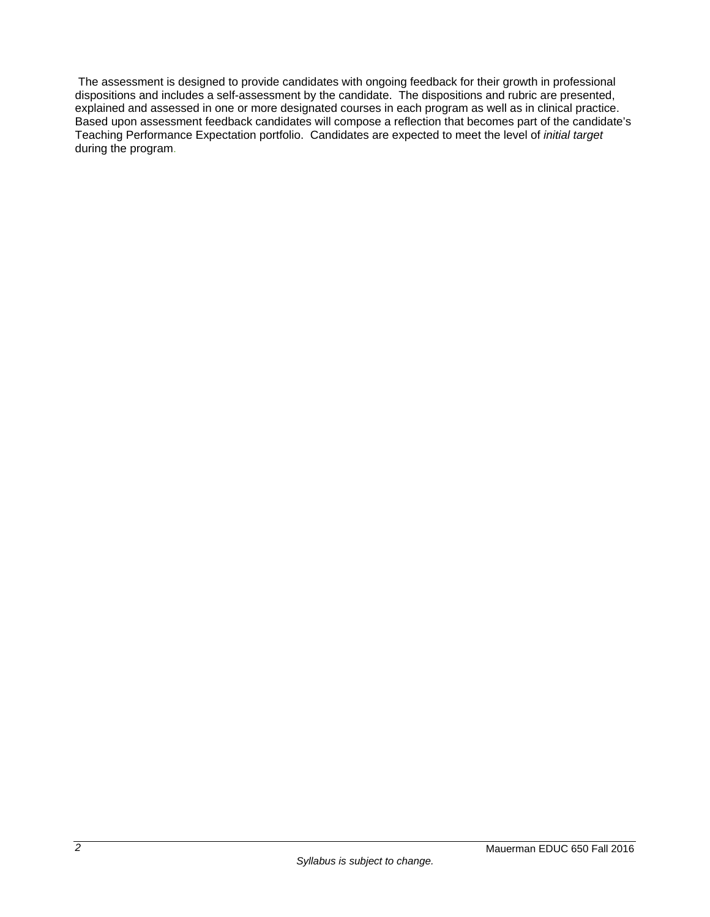The assessment is designed to provide candidates with ongoing feedback for their growth in professional dispositions and includes a self-assessment by the candidate. The dispositions and rubric are presented, explained and assessed in one or more designated courses in each program as well as in clinical practice. Based upon assessment feedback candidates will compose a reflection that becomes part of the candidate's Teaching Performance Expectation portfolio. Candidates are expected to meet the level of *initial target* during the program.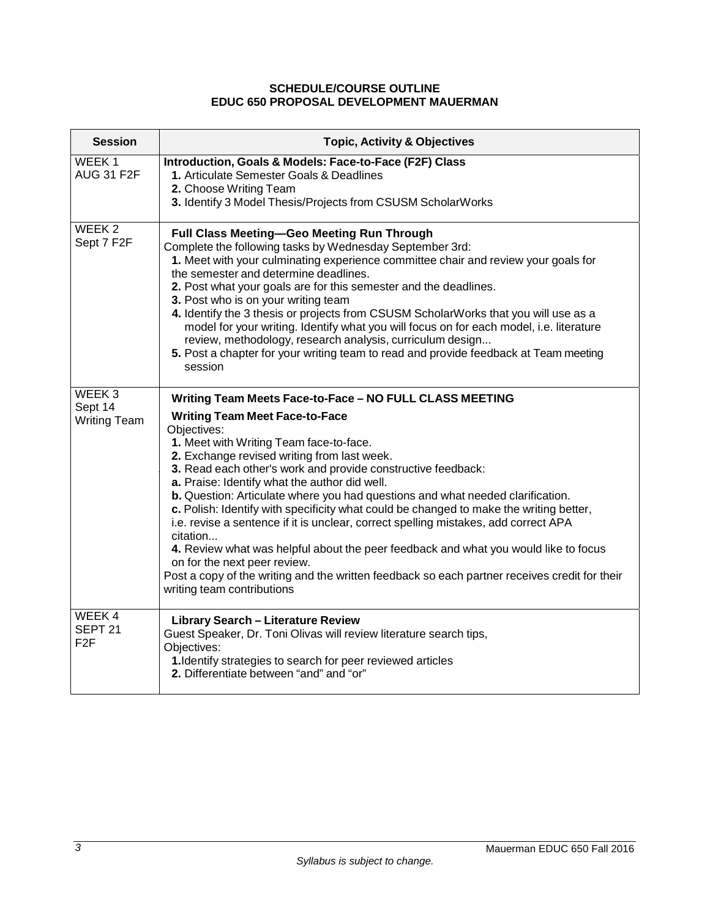## **SCHEDULE/COURSE OUTLINE EDUC 650 PROPOSAL DEVELOPMENT MAUERMAN**

| <b>Session</b>                                      | <b>Topic, Activity &amp; Objectives</b>                                                                                                                                                                                                                                                                                                                                                                                                                                                                                                                                                                                                                                                                                                                                                                                                                         |
|-----------------------------------------------------|-----------------------------------------------------------------------------------------------------------------------------------------------------------------------------------------------------------------------------------------------------------------------------------------------------------------------------------------------------------------------------------------------------------------------------------------------------------------------------------------------------------------------------------------------------------------------------------------------------------------------------------------------------------------------------------------------------------------------------------------------------------------------------------------------------------------------------------------------------------------|
| WEEK <sub>1</sub><br><b>AUG 31 F2F</b>              | Introduction, Goals & Models: Face-to-Face (F2F) Class<br>1. Articulate Semester Goals & Deadlines<br>2. Choose Writing Team<br>3. Identify 3 Model Thesis/Projects from CSUSM ScholarWorks                                                                                                                                                                                                                                                                                                                                                                                                                                                                                                                                                                                                                                                                     |
| WEEK <sub>2</sub><br>Sept 7 F2F                     | Full Class Meeting-Geo Meeting Run Through<br>Complete the following tasks by Wednesday September 3rd:<br>1. Meet with your culminating experience committee chair and review your goals for<br>the semester and determine deadlines.<br>2. Post what your goals are for this semester and the deadlines.<br>3. Post who is on your writing team<br>4. Identify the 3 thesis or projects from CSUSM ScholarWorks that you will use as a<br>model for your writing. Identify what you will focus on for each model, i.e. literature<br>review, methodology, research analysis, curriculum design<br>5. Post a chapter for your writing team to read and provide feedback at Team meeting<br>session                                                                                                                                                              |
| WEEK <sub>3</sub><br>Sept 14<br><b>Writing Team</b> | Writing Team Meets Face-to-Face - NO FULL CLASS MEETING<br><b>Writing Team Meet Face-to-Face</b><br>Objectives:<br>1. Meet with Writing Team face-to-face.<br>2. Exchange revised writing from last week.<br>3. Read each other's work and provide constructive feedback:<br>a. Praise: Identify what the author did well.<br>b. Question: Articulate where you had questions and what needed clarification.<br>c. Polish: Identify with specificity what could be changed to make the writing better,<br>i.e. revise a sentence if it is unclear, correct spelling mistakes, add correct APA<br>citation<br>4. Review what was helpful about the peer feedback and what you would like to focus<br>on for the next peer review.<br>Post a copy of the writing and the written feedback so each partner receives credit for their<br>writing team contributions |
| WEEK4<br>SEPT <sub>21</sub><br>F <sub>2</sub> F     | <b>Library Search - Literature Review</b><br>Guest Speaker, Dr. Toni Olivas will review literature search tips,<br>Objectives:<br>1. Identify strategies to search for peer reviewed articles<br>2. Differentiate between "and" and "or"                                                                                                                                                                                                                                                                                                                                                                                                                                                                                                                                                                                                                        |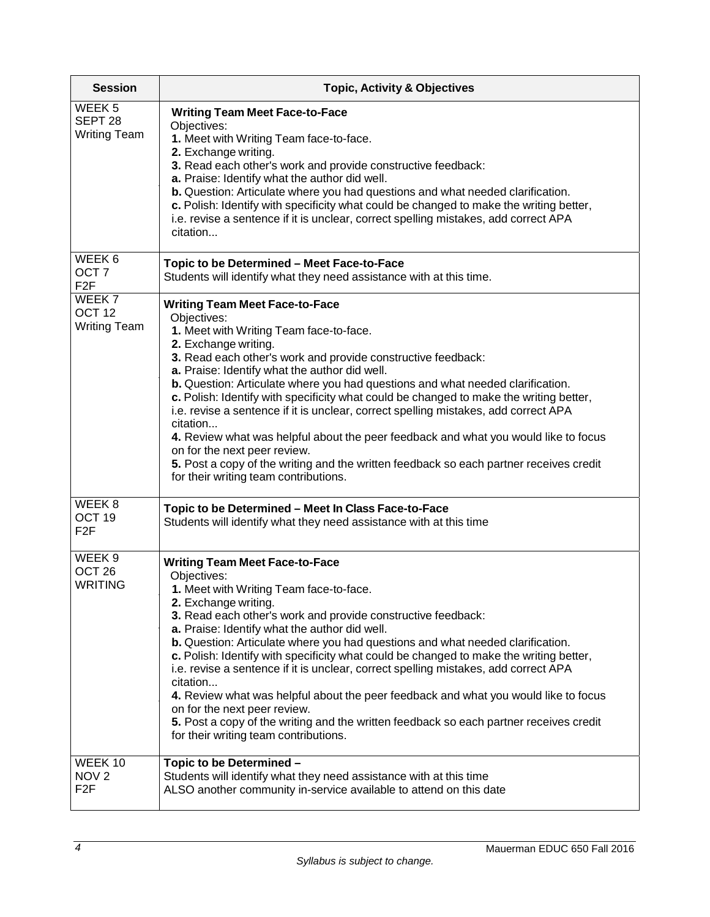| <b>Session</b>                                                 | <b>Topic, Activity &amp; Objectives</b>                                                                                                                                                                                                                                                                                                                                                                                                                                                                                                                                                                                                                                                                                                                                           |  |  |  |  |  |
|----------------------------------------------------------------|-----------------------------------------------------------------------------------------------------------------------------------------------------------------------------------------------------------------------------------------------------------------------------------------------------------------------------------------------------------------------------------------------------------------------------------------------------------------------------------------------------------------------------------------------------------------------------------------------------------------------------------------------------------------------------------------------------------------------------------------------------------------------------------|--|--|--|--|--|
| WEEK <sub>5</sub><br>SEPT <sub>28</sub><br><b>Writing Team</b> | <b>Writing Team Meet Face-to-Face</b><br>Objectives:<br>1. Meet with Writing Team face-to-face.<br>2. Exchange writing.<br>3. Read each other's work and provide constructive feedback:<br>a. Praise: Identify what the author did well.<br>b. Question: Articulate where you had questions and what needed clarification.<br>c. Polish: Identify with specificity what could be changed to make the writing better,<br>i.e. revise a sentence if it is unclear, correct spelling mistakes, add correct APA<br>citation                                                                                                                                                                                                                                                           |  |  |  |  |  |
| WEEK 6<br>OCT <sub>7</sub><br>F <sub>2</sub> F                 | Topic to be Determined - Meet Face-to-Face<br>Students will identify what they need assistance with at this time.                                                                                                                                                                                                                                                                                                                                                                                                                                                                                                                                                                                                                                                                 |  |  |  |  |  |
| WEEK 7<br>OCT <sub>12</sub><br><b>Writing Team</b>             | <b>Writing Team Meet Face-to-Face</b><br>Objectives:<br>1. Meet with Writing Team face-to-face.<br>2. Exchange writing.<br>3. Read each other's work and provide constructive feedback:<br>a. Praise: Identify what the author did well.<br>b. Question: Articulate where you had questions and what needed clarification.<br>c. Polish: Identify with specificity what could be changed to make the writing better,<br>i.e. revise a sentence if it is unclear, correct spelling mistakes, add correct APA<br>citation<br>4. Review what was helpful about the peer feedback and what you would like to focus<br>on for the next peer review.<br>5. Post a copy of the writing and the written feedback so each partner receives credit<br>for their writing team contributions. |  |  |  |  |  |
| WEEK <sub>8</sub><br>OCT <sub>19</sub><br>F <sub>2</sub> F     | Topic to be Determined - Meet In Class Face-to-Face<br>Students will identify what they need assistance with at this time                                                                                                                                                                                                                                                                                                                                                                                                                                                                                                                                                                                                                                                         |  |  |  |  |  |
| WEEK 9<br>OCT <sub>26</sub><br><b>WRITING</b>                  | <b>Writing Team Meet Face-to-Face</b><br>Objectives:<br>1. Meet with Writing Team face-to-face.<br>2. Exchange writing.<br>3. Read each other's work and provide constructive feedback:<br>a. Praise: Identify what the author did well.<br>b. Question: Articulate where you had questions and what needed clarification.<br>c. Polish: Identify with specificity what could be changed to make the writing better,<br>i.e. revise a sentence if it is unclear, correct spelling mistakes, add correct APA<br>citation<br>4. Review what was helpful about the peer feedback and what you would like to focus<br>on for the next peer review.<br>5. Post a copy of the writing and the written feedback so each partner receives credit<br>for their writing team contributions. |  |  |  |  |  |
| WEEK 10<br>NOV <sub>2</sub><br>F <sub>2</sub> F                | Topic to be Determined -<br>Students will identify what they need assistance with at this time<br>ALSO another community in-service available to attend on this date                                                                                                                                                                                                                                                                                                                                                                                                                                                                                                                                                                                                              |  |  |  |  |  |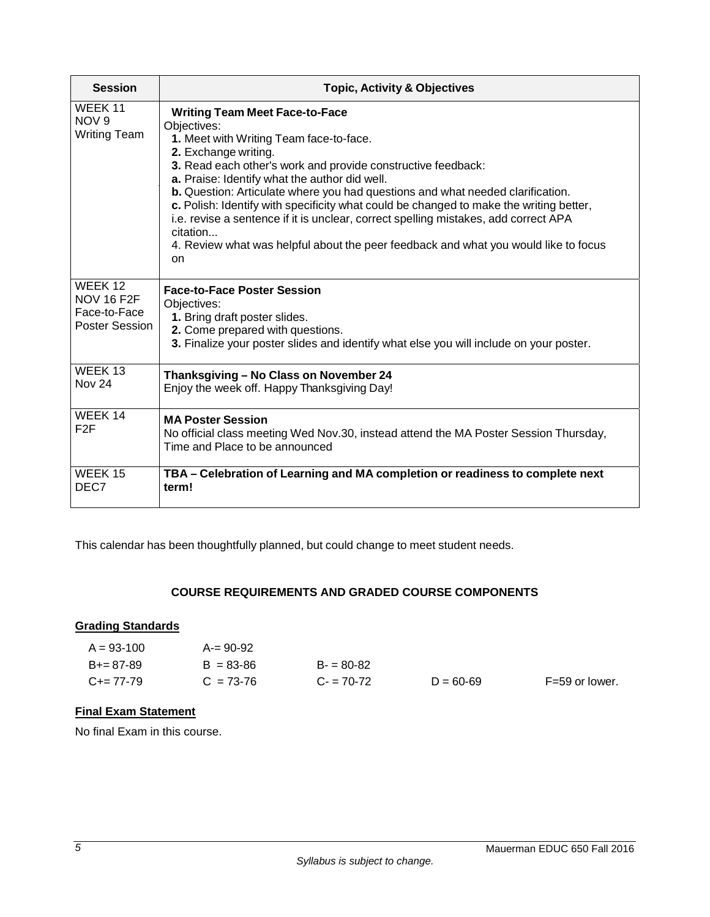| <b>Session</b>                                                        | <b>Topic, Activity &amp; Objectives</b>                                                                                                                                                                                                                                                                                                                                                                                                                                                                                                                                                                              |  |  |  |  |
|-----------------------------------------------------------------------|----------------------------------------------------------------------------------------------------------------------------------------------------------------------------------------------------------------------------------------------------------------------------------------------------------------------------------------------------------------------------------------------------------------------------------------------------------------------------------------------------------------------------------------------------------------------------------------------------------------------|--|--|--|--|
| WEEK 11<br>NOV <sub>9</sub><br><b>Writing Team</b>                    | <b>Writing Team Meet Face-to-Face</b><br>Objectives:<br>1. Meet with Writing Team face-to-face.<br>2. Exchange writing.<br>3. Read each other's work and provide constructive feedback:<br>a. Praise: Identify what the author did well.<br>b. Question: Articulate where you had questions and what needed clarification.<br>c. Polish: Identify with specificity what could be changed to make the writing better,<br>i.e. revise a sentence if it is unclear, correct spelling mistakes, add correct APA<br>citation<br>4. Review what was helpful about the peer feedback and what you would like to focus<br>on |  |  |  |  |
| WEEK 12<br><b>NOV 16 F2F</b><br>Face-to-Face<br><b>Poster Session</b> | <b>Face-to-Face Poster Session</b><br>Objectives:<br>1. Bring draft poster slides.<br>2. Come prepared with questions.<br>3. Finalize your poster slides and identify what else you will include on your poster.                                                                                                                                                                                                                                                                                                                                                                                                     |  |  |  |  |
| WEEK 13<br><b>Nov 24</b>                                              | Thanksgiving - No Class on November 24<br>Enjoy the week off. Happy Thanksgiving Day!                                                                                                                                                                                                                                                                                                                                                                                                                                                                                                                                |  |  |  |  |
| WEEK 14<br>F2F                                                        | <b>MA Poster Session</b><br>No official class meeting Wed Nov.30, instead attend the MA Poster Session Thursday,<br>Time and Place to be announced                                                                                                                                                                                                                                                                                                                                                                                                                                                                   |  |  |  |  |
| WEEK 15<br>DEC7                                                       | TBA – Celebration of Learning and MA completion or readiness to complete next<br>term!                                                                                                                                                                                                                                                                                                                                                                                                                                                                                                                               |  |  |  |  |

This calendar has been thoughtfully planned, but could change to meet student needs.

## **COURSE REQUIREMENTS AND GRADED COURSE COMPONENTS**

# **Grading Standards**

| $A = 93 - 100$  | $A = 90 - 92$ |             |               |                |
|-----------------|---------------|-------------|---------------|----------------|
| $B+=87-89$      | $B = 83 - 86$ | $B = 80-82$ |               |                |
| $C_{\pm}=77-79$ | $C = 73-76$   | $C = 70-72$ | $D = 60 - 69$ | F=59 or lower. |

# **Final Exam Statement**

No final Exam in this course.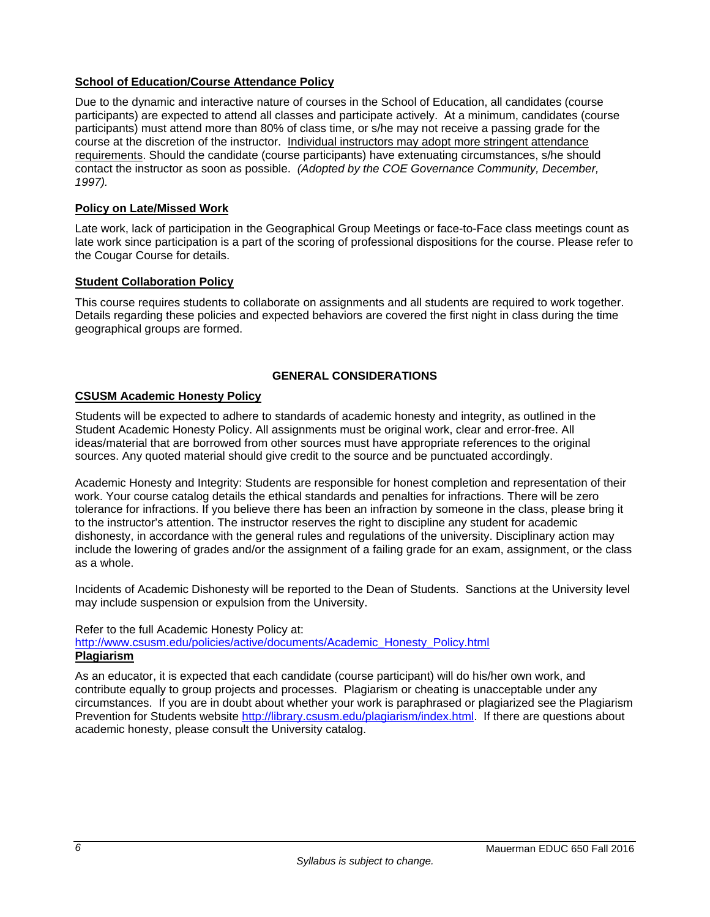## **School of Education/Course Attendance Policy**

Due to the dynamic and interactive nature of courses in the School of Education, all candidates (course participants) are expected to attend all classes and participate actively. At a minimum, candidates (course participants) must attend more than 80% of class time, or s/he may not receive a passing grade for the course at the discretion of the instructor. Individual instructors may adopt more stringent attendance requirements. Should the candidate (course participants) have extenuating circumstances, s/he should contact the instructor as soon as possible. *(Adopted by the COE Governance Community, December, 1997).*

### **Policy on Late/Missed Work**

Late work, lack of participation in the Geographical Group Meetings or face-to-Face class meetings count as late work since participation is a part of the scoring of professional dispositions for the course. Please refer to the Cougar Course for details.

### **Student Collaboration Policy**

This course requires students to collaborate on assignments and all students are required to work together. Details regarding these policies and expected behaviors are covered the first night in class during the time geographical groups are formed.

## **GENERAL CONSIDERATIONS**

### **CSUSM Academic Honesty Policy**

Students will be expected to adhere to standards of academic honesty and integrity, as outlined in the Student Academic Honesty Policy. All assignments must be original work, clear and error-free. All ideas/material that are borrowed from other sources must have appropriate references to the original sources. Any quoted material should give credit to the source and be punctuated accordingly.

Academic Honesty and Integrity: Students are responsible for honest completion and representation of their work. Your course catalog details the ethical standards and penalties for infractions. There will be zero tolerance for infractions. If you believe there has been an infraction by someone in the class, please bring it to the instructor's attention. The instructor reserves the right to discipline any student for academic dishonesty, in accordance with the general rules and regulations of the university. Disciplinary action may include the lowering of grades and/or the assignment of a failing grade for an exam, assignment, or the class as a whole.

Incidents of Academic Dishonesty will be reported to the Dean of Students. Sanctions at the University level may include suspension or expulsion from the University.

### Refer to the full Academic Honesty Policy at:

http://www.csusm.edu/policies/active/documents/Academic\_Honesty\_Policy.html **Plagiarism** 

As an educator, it is expected that each candidate (course participant) will do his/her own work, and contribute equally to group projects and processes. Plagiarism or cheating is unacceptable under any circumstances. If you are in doubt about whether your work is paraphrased or plagiarized see the Plagiarism Prevention for Students website http://library.csusm.edu/plagiarism/index.html. If there are questions about academic honesty, please consult the University catalog.